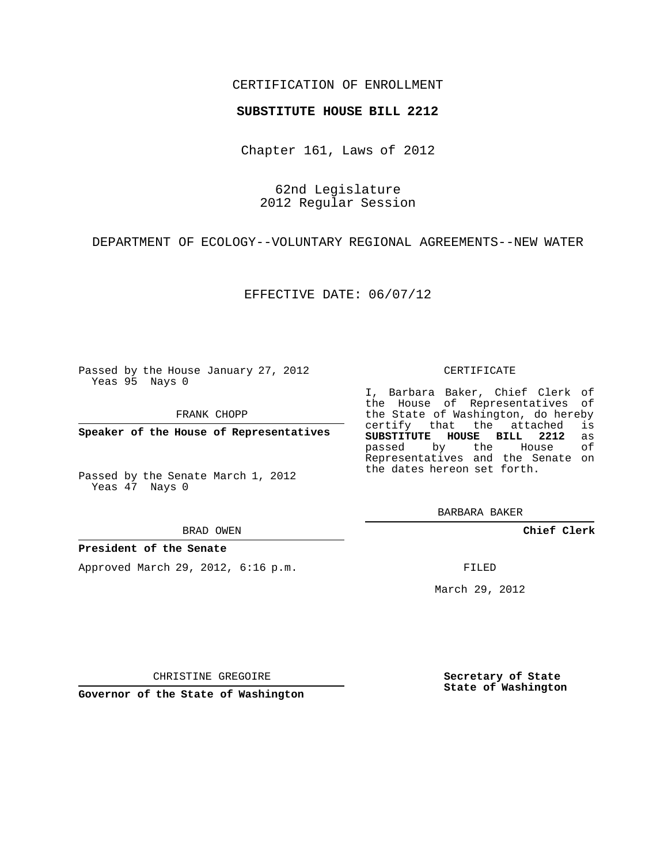## CERTIFICATION OF ENROLLMENT

## **SUBSTITUTE HOUSE BILL 2212**

Chapter 161, Laws of 2012

62nd Legislature 2012 Regular Session

DEPARTMENT OF ECOLOGY--VOLUNTARY REGIONAL AGREEMENTS--NEW WATER

EFFECTIVE DATE: 06/07/12

Passed by the House January 27, 2012 Yeas 95 Nays 0

FRANK CHOPP

**Speaker of the House of Representatives**

Passed by the Senate March 1, 2012 Yeas 47 Nays 0

BRAD OWEN

## **President of the Senate**

Approved March 29, 2012, 6:16 p.m.

CERTIFICATE

I, Barbara Baker, Chief Clerk of the House of Representatives of the State of Washington, do hereby<br>certify that the attached is certify that the attached **SUBSTITUTE HOUSE BILL 2212** as passed by the Representatives and the Senate on the dates hereon set forth.

BARBARA BAKER

**Chief Clerk**

FILED

March 29, 2012

**Secretary of State State of Washington**

CHRISTINE GREGOIRE

**Governor of the State of Washington**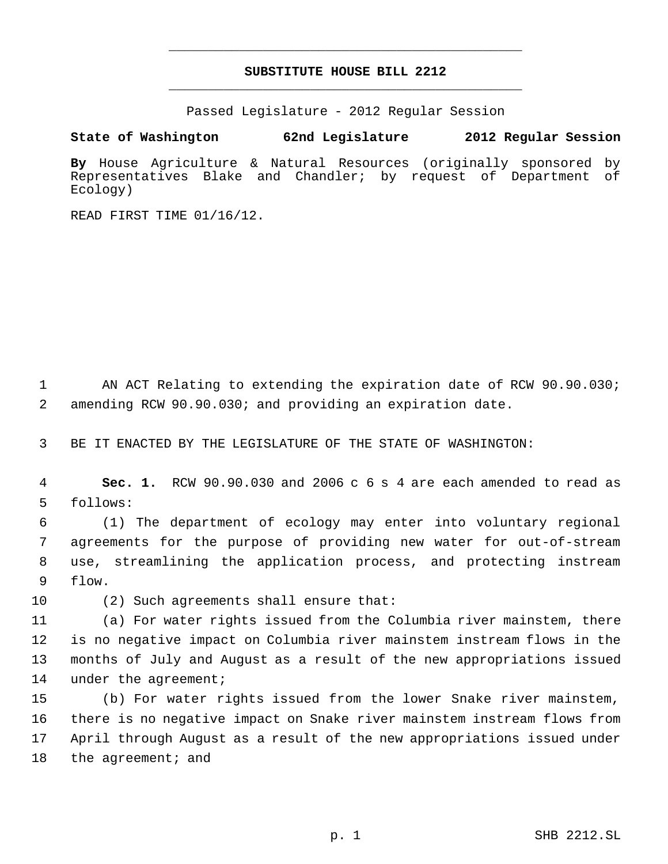## **SUBSTITUTE HOUSE BILL 2212** \_\_\_\_\_\_\_\_\_\_\_\_\_\_\_\_\_\_\_\_\_\_\_\_\_\_\_\_\_\_\_\_\_\_\_\_\_\_\_\_\_\_\_\_\_

\_\_\_\_\_\_\_\_\_\_\_\_\_\_\_\_\_\_\_\_\_\_\_\_\_\_\_\_\_\_\_\_\_\_\_\_\_\_\_\_\_\_\_\_\_

Passed Legislature - 2012 Regular Session

**State of Washington 62nd Legislature 2012 Regular Session**

**By** House Agriculture & Natural Resources (originally sponsored by Representatives Blake and Chandler; by request of Department of Ecology)

READ FIRST TIME 01/16/12.

1 AN ACT Relating to extending the expiration date of RCW 90.90.030; 2 amending RCW 90.90.030; and providing an expiration date.

3 BE IT ENACTED BY THE LEGISLATURE OF THE STATE OF WASHINGTON:

 4 **Sec. 1.** RCW 90.90.030 and 2006 c 6 s 4 are each amended to read as 5 follows:

 (1) The department of ecology may enter into voluntary regional agreements for the purpose of providing new water for out-of-stream use, streamlining the application process, and protecting instream 9 flow.

10 (2) Such agreements shall ensure that:

 (a) For water rights issued from the Columbia river mainstem, there is no negative impact on Columbia river mainstem instream flows in the months of July and August as a result of the new appropriations issued 14 under the agreement;

 (b) For water rights issued from the lower Snake river mainstem, there is no negative impact on Snake river mainstem instream flows from April through August as a result of the new appropriations issued under 18 the agreement; and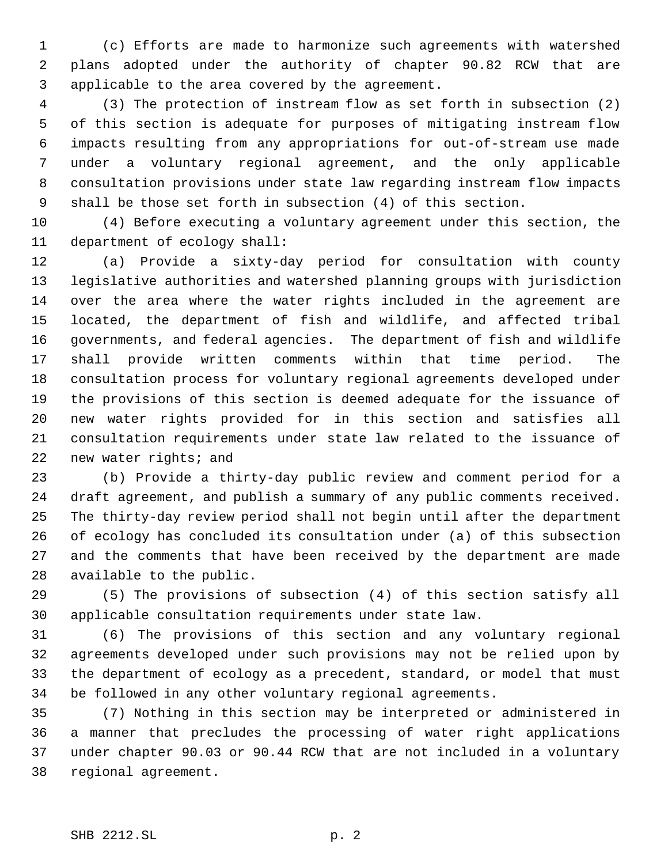(c) Efforts are made to harmonize such agreements with watershed plans adopted under the authority of chapter 90.82 RCW that are applicable to the area covered by the agreement.

 (3) The protection of instream flow as set forth in subsection (2) of this section is adequate for purposes of mitigating instream flow impacts resulting from any appropriations for out-of-stream use made under a voluntary regional agreement, and the only applicable consultation provisions under state law regarding instream flow impacts shall be those set forth in subsection (4) of this section.

 (4) Before executing a voluntary agreement under this section, the department of ecology shall:

 (a) Provide a sixty-day period for consultation with county legislative authorities and watershed planning groups with jurisdiction over the area where the water rights included in the agreement are located, the department of fish and wildlife, and affected tribal governments, and federal agencies. The department of fish and wildlife shall provide written comments within that time period. The consultation process for voluntary regional agreements developed under the provisions of this section is deemed adequate for the issuance of new water rights provided for in this section and satisfies all consultation requirements under state law related to the issuance of new water rights; and

 (b) Provide a thirty-day public review and comment period for a draft agreement, and publish a summary of any public comments received. The thirty-day review period shall not begin until after the department of ecology has concluded its consultation under (a) of this subsection and the comments that have been received by the department are made available to the public.

 (5) The provisions of subsection (4) of this section satisfy all applicable consultation requirements under state law.

 (6) The provisions of this section and any voluntary regional agreements developed under such provisions may not be relied upon by the department of ecology as a precedent, standard, or model that must be followed in any other voluntary regional agreements.

 (7) Nothing in this section may be interpreted or administered in a manner that precludes the processing of water right applications under chapter 90.03 or 90.44 RCW that are not included in a voluntary regional agreement.